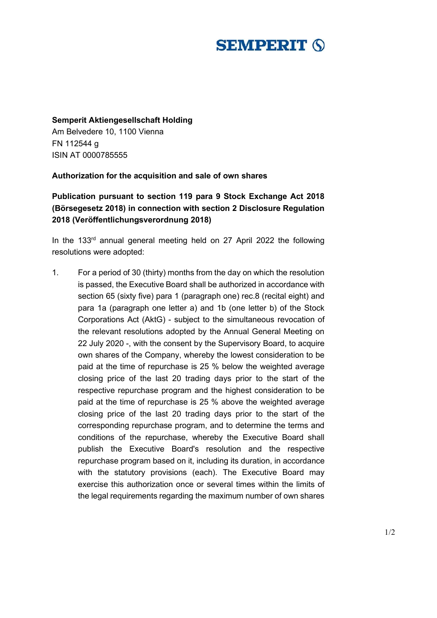## **SEMPERIT (S)**

## **Semperit Aktiengesellschaft Holding**

Am Belvedere 10, 1100 Vienna FN 112544 g ISIN AT 0000785555

## **Authorization for the acquisition and sale of own shares**

## **Publication pursuant to section 119 para 9 Stock Exchange Act 2018 (Börsegesetz 2018) in connection with section 2 Disclosure Regulation 2018 (Veröffentlichungsverordnung 2018)**

In the 133<sup>rd</sup> annual general meeting held on 27 April 2022 the following resolutions were adopted:

1. For a period of 30 (thirty) months from the day on which the resolution is passed, the Executive Board shall be authorized in accordance with section 65 (sixty five) para 1 (paragraph one) rec.8 (recital eight) and para 1a (paragraph one letter a) and 1b (one letter b) of the Stock Corporations Act (AktG) - subject to the simultaneous revocation of the relevant resolutions adopted by the Annual General Meeting on 22 July 2020 -, with the consent by the Supervisory Board, to acquire own shares of the Company, whereby the lowest consideration to be paid at the time of repurchase is 25 % below the weighted average closing price of the last 20 trading days prior to the start of the respective repurchase program and the highest consideration to be paid at the time of repurchase is 25 % above the weighted average closing price of the last 20 trading days prior to the start of the corresponding repurchase program, and to determine the terms and conditions of the repurchase, whereby the Executive Board shall publish the Executive Board's resolution and the respective repurchase program based on it, including its duration, in accordance with the statutory provisions (each). The Executive Board may exercise this authorization once or several times within the limits of the legal requirements regarding the maximum number of own shares